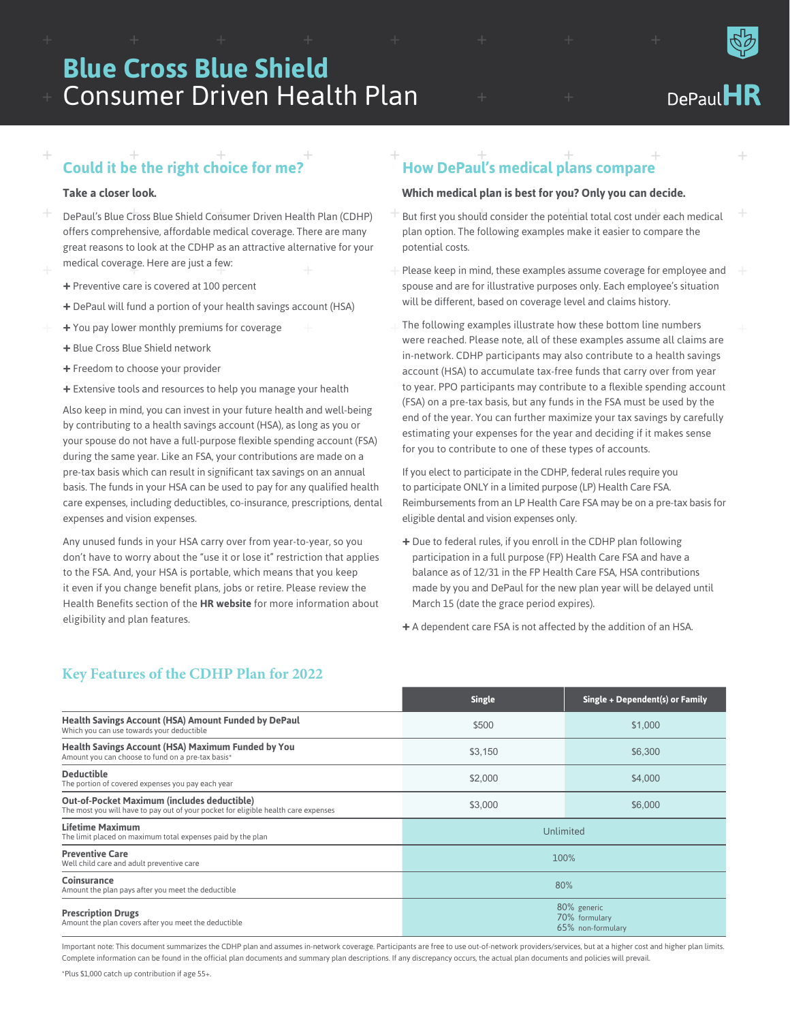# Consumer Driven Health Plan **Blue Cross Blue Shield**

#### $DePaul$  $\bf{l}$  $\bf{l}$

#### $+$   $+$   $+$ + **Could it be the right choice for me?**

#### **Take a closer look.**

+

- + + + + DePaul's Blue Cross Blue Shield Consumer Driven Health Plan (CDHP) medical coverage. Here are just a few:<br>|offers comprehensive, affordable medical coverage. There are many great reasons to look at the CDHP as an attractive alternative for your
	- **+** Preventive care is covered at 100 percent
	- **+** DePaul will fund a portion of your health savings account (HSA)
	- + + **+** You pay lower monthly premiums for coverage
	- **+** Blue Cross Blue Shield network
	- **+** Freedom to choose your provider
	- + + + **+** Extensive tools and resources to help you manage your health

Also keep in mind, you can invest in your future health and well-being by contributing to a health savings account (HSA), as long as you or your spouse do not have a full-purpose flexible spending account (FSA) during the same year. Like an FSA, your contributions are made on a pre-tax basis which can result in significant tax savings on an annual basis. The funds in your HSA can be used to pay for any qualified health care expenses, including deductibles, co-insurance, prescriptions, dental expenses and vision expenses.

Any unused funds in your HSA carry over from year-to-year, so you don't have to worry about the "use it or lose it" restriction that applies to the FSA. And, your HSA is portable, which means that you keep it even if you change benefit plans, jobs or retire. Please review the Health Benefits section of the **HR website** for more information about eligibility and plan features.

### $+$  +  $+$  +  $+$  +  $+$ **How DePaul's medical plans compare**

#### **Which medical plan is best for you? Only you can decide.**

- + But first you should consider the potential total cost under each medical plan option. The following examples make it easier to compare the potential costs.
- Please keep in mind, these examples assume coverage for employee and spouse and are for illustrative purposes only. Each employee's situation will be different, based on coverage level and claims history.
- The following examples illustrate how these bottom line numbers + + + to year. PPO participants may contribute to a flexible spending account were reached. Please note, all of these examples assume all claims are in-network. CDHP participants may also contribute to a health savings account (HSA) to accumulate tax-free funds that carry over from year (FSA) on a pre-tax basis, but any funds in the FSA must be used by the end of the year. You can further maximize your tax savings by carefully estimating your expenses for the year and deciding if it makes sense for you to contribute to one of these types of accounts.

If you elect to participate in the CDHP, federal rules require you to participate ONLY in a limited purpose (LP) Health Care FSA. Reimbursements from an LP Health Care FSA may be on a pre-tax basis for eligible dental and vision expenses only.

- **+** Due to federal rules, if you enroll in the CDHP plan following participation in a full purpose (FP) Health Care FSA and have a balance as of 12/31 in the FP Health Care FSA, HSA contributions made by you and DePaul for the new plan year will be delayed until March 15 (date the grace period expires).
- **+** A dependent care FSA is not affected by the addition of an HSA.

|                                                                                                                                          | <b>Single</b>                                     | Single + Dependent(s) or Family |
|------------------------------------------------------------------------------------------------------------------------------------------|---------------------------------------------------|---------------------------------|
| <b>Health Savings Account (HSA) Amount Funded by DePaul</b><br>Which you can use towards your deductible                                 | \$500                                             | \$1,000                         |
| Health Savings Account (HSA) Maximum Funded by You<br>Amount you can choose to fund on a pre-tax basis*                                  | \$3,150                                           | \$6,300                         |
| <b>Deductible</b><br>The portion of covered expenses you pay each year                                                                   | \$2,000                                           | \$4,000                         |
| <b>Out-of-Pocket Maximum (includes deductible)</b><br>The most you will have to pay out of your pocket for eligible health care expenses | \$3,000                                           | \$6,000                         |
| <b>Lifetime Maximum</b><br>The limit placed on maximum total expenses paid by the plan                                                   | Unlimited                                         |                                 |
| <b>Preventive Care</b><br>Well child care and adult preventive care                                                                      | 100%                                              |                                 |
| Coinsurance<br>Amount the plan pays after you meet the deductible                                                                        | 80%                                               |                                 |
| <b>Prescription Drugs</b><br>Amount the plan covers after you meet the deductible                                                        | 80% generic<br>70% formulary<br>65% non-formulary |                                 |

+

**Key Features of the CDHP Plan for 2022**

Important note: This document summarizes the CDHP plan and assumes in-network coverage. Participants are free to use out-of-network providers/services, but at a higher cost and higher plan limits. Complete information can be found in the official plan documents and summary plan descriptions. If any discrepancy occurs, the actual plan documents and policies will prevail.

\*Plus \$1,000 catch up contribution if age 55+.



+

+